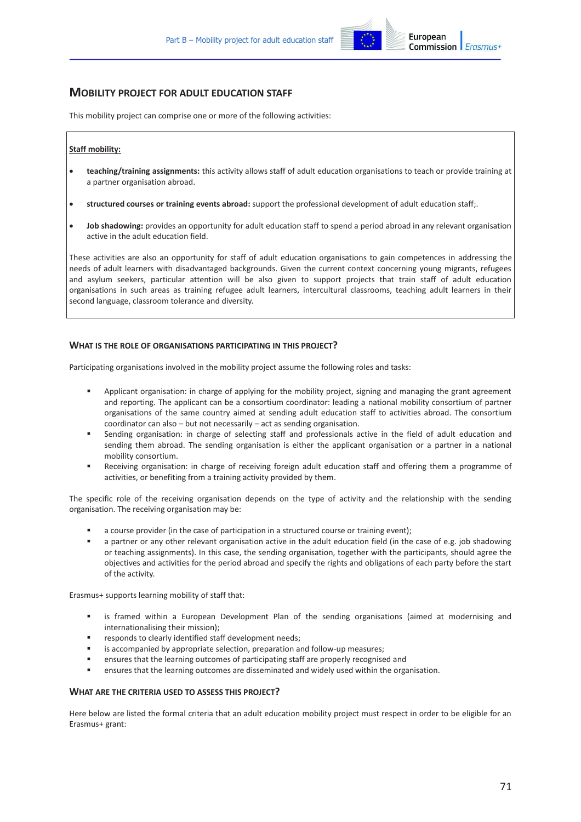

# **MOBILITY PROJECT FOR ADULT EDUCATION STAFF**

This mobility project can comprise one or more of the following activities:

## **Staff mobility:**

- · **teaching/training assignments:** this activity allows staff of adult education organisations to teach or provide training at a partner organisation abroad.
- · **structured courses or training events abroad:** support the professional development of adult education staff;.
- · **Job shadowing:** provides an opportunity for adult education staff to spend a period abroad in any relevant organisation active in the adult education field.

These activities are also an opportunity for staff of adult education organisations to gain competences in addressing the needs of adult learners with disadvantaged backgrounds. Given the current context concerning young migrants, refugees and asylum seekers, particular attention will be also given to support projects that train staff of adult education organisations in such areas as training refugee adult learners, intercultural classrooms, teaching adult learners in their second language, classroom tolerance and diversity.

## **WHAT IS THE ROLE OF ORGANISATIONS PARTICIPATING IN THIS PROJECT?**

Participating organisations involved in the mobility project assume the following roles and tasks:

- ß Applicant organisation: in charge of applying for the mobility project, signing and managing the grant agreement and reporting. The applicant can be a consortium coordinator: leading a national mobility consortium of partner organisations of the same country aimed at sending adult education staff to activities abroad. The consortium coordinator can also – but not necessarily – act as sending organisation.
- ß Sending organisation: in charge of selecting staff and professionals active in the field of adult education and sending them abroad. The sending organisation is either the applicant organisation or a partner in a national mobility consortium.
- ß Receiving organisation: in charge of receiving foreign adult education staff and offering them a programme of activities, or benefiting from a training activity provided by them.

The specific role of the receiving organisation depends on the type of activity and the relationship with the sending organisation. The receiving organisation may be:

- a course provider (in the case of participation in a structured course or training event);
- a partner or any other relevant organisation active in the adult education field (in the case of e.g. job shadowing or teaching assignments). In this case, the sending organisation, together with the participants, should agree the objectives and activities for the period abroad and specify the rights and obligations of each party before the start of the activity.

Erasmus+ supports learning mobility of staff that:

- ß is framed within a European Development Plan of the sending organisations (aimed at modernising and internationalising their mission);
- responds to clearly identified staff development needs;
- is accompanied by appropriate selection, preparation and follow-up measures;
- ß ensures that the learning outcomes of participating staff are properly recognised and
- ß ensures that the learning outcomes are disseminated and widely used within the organisation.

### **WHAT ARE THE CRITERIA USED TO ASSESS THIS PROJECT?**

Here below are listed the formal criteria that an adult education mobility project must respect in order to be eligible for an Erasmus+ grant: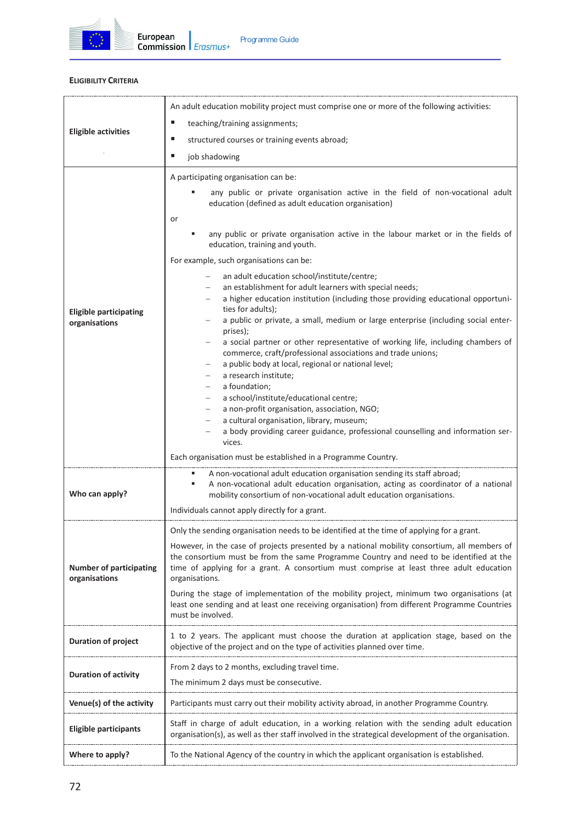

# **ELIGIBILITY CRITERIA**

| <b>Eligible activities</b>                      | An adult education mobility project must comprise one or more of the following activities:                                                                                                                                                                                                           |  |
|-------------------------------------------------|------------------------------------------------------------------------------------------------------------------------------------------------------------------------------------------------------------------------------------------------------------------------------------------------------|--|
|                                                 | ш<br>teaching/training assignments;                                                                                                                                                                                                                                                                  |  |
|                                                 | ш<br>structured courses or training events abroad;                                                                                                                                                                                                                                                   |  |
|                                                 | ш<br>job shadowing                                                                                                                                                                                                                                                                                   |  |
|                                                 | A participating organisation can be:                                                                                                                                                                                                                                                                 |  |
| <b>Eligible participating</b><br>organisations  | any public or private organisation active in the field of non-vocational adult<br>education (defined as adult education organisation)                                                                                                                                                                |  |
|                                                 | or                                                                                                                                                                                                                                                                                                   |  |
|                                                 | any public or private organisation active in the labour market or in the fields of<br>education, training and youth.                                                                                                                                                                                 |  |
|                                                 | For example, such organisations can be:                                                                                                                                                                                                                                                              |  |
|                                                 | an adult education school/institute/centre;<br>$\overline{\phantom{m}}$<br>an establishment for adult learners with special needs;                                                                                                                                                                   |  |
|                                                 | a higher education institution (including those providing educational opportuni-<br>ties for adults);                                                                                                                                                                                                |  |
|                                                 | a public or private, a small, medium or large enterprise (including social enter-<br>prises);                                                                                                                                                                                                        |  |
|                                                 | a social partner or other representative of working life, including chambers of<br>commerce, craft/professional associations and trade unions;<br>a public body at local, regional or national level;                                                                                                |  |
|                                                 | a research institute;                                                                                                                                                                                                                                                                                |  |
|                                                 | a foundation;                                                                                                                                                                                                                                                                                        |  |
|                                                 | a school/institute/educational centre;<br>a non-profit organisation, association, NGO;                                                                                                                                                                                                               |  |
|                                                 | a cultural organisation, library, museum;                                                                                                                                                                                                                                                            |  |
|                                                 | a body providing career guidance, professional counselling and information ser-<br>vices.                                                                                                                                                                                                            |  |
|                                                 | Each organisation must be established in a Programme Country.                                                                                                                                                                                                                                        |  |
|                                                 | A non-vocational adult education organisation sending its staff abroad;                                                                                                                                                                                                                              |  |
| Who can apply?                                  | A non-vocational adult education organisation, acting as coordinator of a national<br>٠<br>mobility consortium of non-vocational adult education organisations.                                                                                                                                      |  |
|                                                 | Individuals cannot apply directly for a grant.                                                                                                                                                                                                                                                       |  |
| <b>Number of participating</b><br>organisations | Only the sending organisation needs to be identified at the time of applying for a grant.                                                                                                                                                                                                            |  |
|                                                 | However, in the case of projects presented by a national mobility consortium, all members of<br>the consortium must be from the same Programme Country and need to be identified at the<br>time of applying for a grant. A consortium must comprise at least three adult education<br>organisations. |  |
|                                                 | During the stage of implementation of the mobility project, minimum two organisations (at<br>least one sending and at least one receiving organisation) from different Programme Countries<br>must be involved.                                                                                      |  |
| <b>Duration of project</b>                      | 1 to 2 years. The applicant must choose the duration at application stage, based on the<br>objective of the project and on the type of activities planned over time.                                                                                                                                 |  |
|                                                 | From 2 days to 2 months, excluding travel time.                                                                                                                                                                                                                                                      |  |
| <b>Duration of activity</b>                     | The minimum 2 days must be consecutive.                                                                                                                                                                                                                                                              |  |
| Venue(s) of the activity                        | Participants must carry out their mobility activity abroad, in another Programme Country.                                                                                                                                                                                                            |  |
| <b>Eligible participants</b>                    | Staff in charge of adult education, in a working relation with the sending adult education<br>organisation(s), as well as ther staff involved in the strategical development of the organisation.                                                                                                    |  |
| Where to apply?                                 | To the National Agency of the country in which the applicant organisation is established.                                                                                                                                                                                                            |  |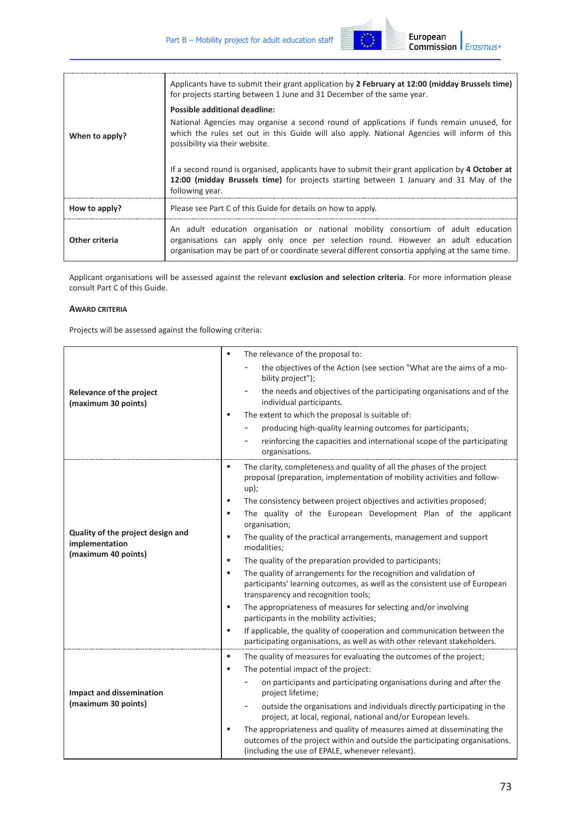

| When to apply? | Applicants have to submit their grant application by 2 February at 12:00 (midday Brussels time)<br>for projects starting between 1 June and 31 December of the same year.                                                                                                   |  |
|----------------|-----------------------------------------------------------------------------------------------------------------------------------------------------------------------------------------------------------------------------------------------------------------------------|--|
|                | Possible additional deadline:                                                                                                                                                                                                                                               |  |
|                | National Agencies may organise a second round of applications if funds remain unused, for<br>which the rules set out in this Guide will also apply. National Agencies will inform of this<br>possibility via their website.                                                 |  |
|                | If a second round is organised, applicants have to submit their grant application by 4 October at<br>12:00 (midday Brussels time) for projects starting between 1 January and 31 May of the<br>following year.                                                              |  |
| How to apply?  | Please see Part C of this Guide for details on how to apply.                                                                                                                                                                                                                |  |
| Other criteria | An adult education organisation or national mobility consortium of adult education<br>organisations can apply only once per selection round. However an adult education<br>organisation may be part of or coordinate several different consortia applying at the same time. |  |

Applicant organisations will be assessed against the relevant **exclusion and selection criteria**. For more information please consult Part C of this Guide.

### **AWARD CRITERIA**

Projects will be assessed against the following criteria:

|                                                        | The relevance of the proposal to:<br>٠                                                                                                                                                                         |
|--------------------------------------------------------|----------------------------------------------------------------------------------------------------------------------------------------------------------------------------------------------------------------|
|                                                        | the objectives of the Action (see section "What are the aims of a mo-<br>bility project");                                                                                                                     |
| <b>Relevance of the project</b><br>(maximum 30 points) | the needs and objectives of the participating organisations and of the<br>individual participants.                                                                                                             |
|                                                        | The extent to which the proposal is suitable of:<br>٠                                                                                                                                                          |
|                                                        | producing high-quality learning outcomes for participants;                                                                                                                                                     |
|                                                        | reinforcing the capacities and international scope of the participating<br>organisations.                                                                                                                      |
|                                                        | The clarity, completeness and quality of all the phases of the project<br>٠<br>proposal (preparation, implementation of mobility activities and follow-<br>$up)$ ;                                             |
|                                                        | The consistency between project objectives and activities proposed;<br>٠                                                                                                                                       |
|                                                        | The quality of the European Development Plan of the applicant<br>٠<br>organisation;                                                                                                                            |
| Quality of the project design and<br>implementation    | ٠<br>The quality of the practical arrangements, management and support<br>modalities;                                                                                                                          |
| (maximum 40 points)                                    | The quality of the preparation provided to participants;<br>٠                                                                                                                                                  |
|                                                        | The quality of arrangements for the recognition and validation of<br>٠<br>participants' learning outcomes, as well as the consistent use of European<br>transparency and recognition tools;                    |
|                                                        | The appropriateness of measures for selecting and/or involving<br>٠                                                                                                                                            |
|                                                        | participants in the mobility activities;                                                                                                                                                                       |
|                                                        | ×,<br>If applicable, the quality of cooperation and communication between the<br>participating organisations, as well as with other relevant stakeholders.                                                     |
|                                                        | ٠<br>The quality of measures for evaluating the outcomes of the project;                                                                                                                                       |
|                                                        | The potential impact of the project:<br>٠                                                                                                                                                                      |
| <b>Impact and dissemination</b>                        | on participants and participating organisations during and after the<br>project lifetime;                                                                                                                      |
| (maximum 30 points)                                    | outside the organisations and individuals directly participating in the<br>-<br>project, at local, regional, national and/or European levels.                                                                  |
|                                                        | The appropriateness and quality of measures aimed at disseminating the<br>٠<br>outcomes of the project within and outside the participating organisations.<br>(including the use of EPALE, whenever relevant). |